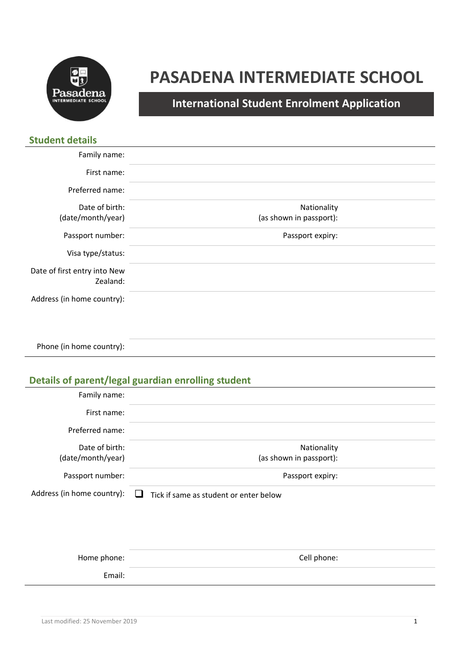

# **PASADENA INTERMEDIATE SCHOOL**

**International Student Enrolment Application**

| <b>Student details</b>       |                         |
|------------------------------|-------------------------|
| Family name:                 |                         |
| First name:                  |                         |
| Preferred name:              |                         |
| Date of birth:               | Nationality             |
| (date/month/year)            | (as shown in passport): |
| Passport number:             | Passport expiry:        |
| Visa type/status:            |                         |
| Date of first entry into New |                         |
| Zealand:                     |                         |
| Address (in home country):   |                         |
|                              |                         |
|                              |                         |

Phone (in home country):

## **Details of parent/legal guardian enrolling student**

| Family name:               |                                                        |  |
|----------------------------|--------------------------------------------------------|--|
| First name:                |                                                        |  |
| Preferred name:            |                                                        |  |
| Date of birth:             | Nationality                                            |  |
| (date/month/year)          | (as shown in passport):                                |  |
| Passport number:           | Passport expiry:                                       |  |
| Address (in home country): | Tick if same as student or enter below<br>$\mathbf{1}$ |  |
|                            |                                                        |  |
|                            |                                                        |  |
|                            |                                                        |  |

| Home phone: | Cell phone: |
|-------------|-------------|
| Email:      |             |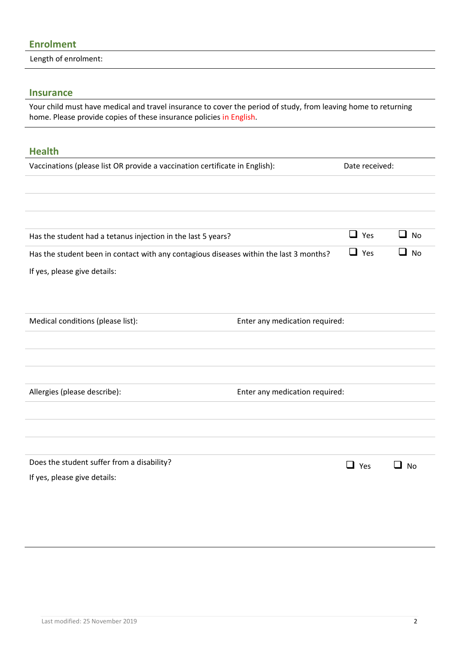#### **Enrolment**

Length of enrolment:

#### **Insurance**

Your child must have medical and travel insurance to cover the period of study, from leaving home to returning home. Please provide copies of these insurance policies in English.

# **Health** Vaccinations (please list OR provide a vaccination certificate in English): Date received: Has the student had a tetanus injection in the last 5 years?  $\Box$  Yes  $\Box$  No Has the student been in contact with any contagious diseases within the last 3 months?  $\Box$  Yes  $\Box$  No If yes, please give details: Medical conditions (please list): Enter any medication required: Allergies (please describe):  $\qquad \qquad$  Enter any medication required: Does the student suffer from a disability? If yes, please give details: ❑ Yes ❑ No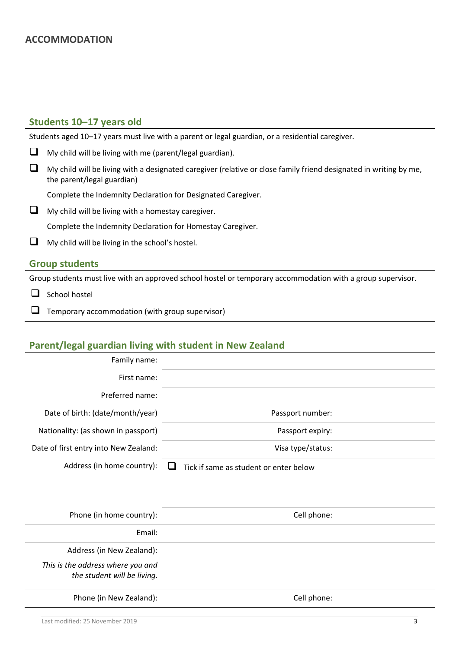#### **Students 10–17 years old**

Students aged 10–17 years must live with a parent or legal guardian, or a residential caregiver.

❑ My child will be living with me (parent/legal guardian). ❑ My child will be living with a designated caregiver (relative or close family friend designated in writing by me, the parent/legal guardian)

Complete the Indemnity Declaration for Designated Caregiver.

❑ My child will be living with a homestay caregiver.

Complete the Indemnity Declaration for Homestay Caregiver.

❑ My child will be living in the school's hostel.

#### **Group students**

Group students must live with an approved school hostel or temporary accommodation with a group supervisor.

- □ School hostel
- ❑ Temporary accommodation (with group supervisor)

#### **Parent/legal guardian living with student in New Zealand**

| Family name:                          |                                        |
|---------------------------------------|----------------------------------------|
| First name:                           |                                        |
| Preferred name:                       |                                        |
| Date of birth: (date/month/year)      | Passport number:                       |
| Nationality: (as shown in passport)   | Passport expiry:                       |
| Date of first entry into New Zealand: | Visa type/status:                      |
| Address (in home country):            | Tick if same as student or enter below |

| Phone (in home country):                                         | Cell phone: |
|------------------------------------------------------------------|-------------|
| Email:                                                           |             |
| Address (in New Zealand):                                        |             |
| This is the address where you and<br>the student will be living. |             |
| Phone (in New Zealand):                                          | Cell phone: |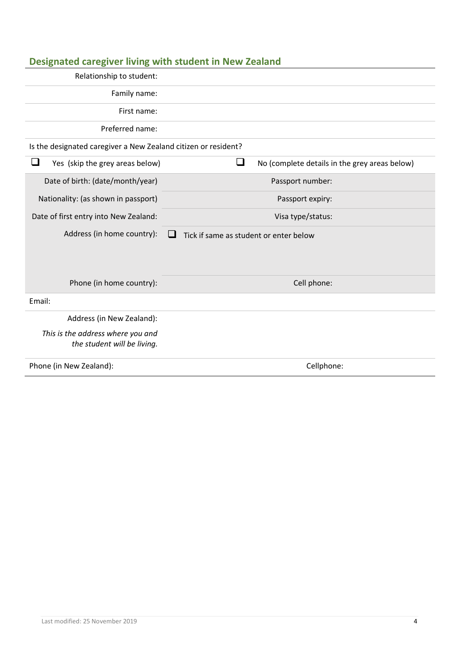|                                                                           | Designated caregiver living with student in New Zealand |  |
|---------------------------------------------------------------------------|---------------------------------------------------------|--|
| Relationship to student:                                                  |                                                         |  |
| Family name:                                                              |                                                         |  |
| First name:                                                               |                                                         |  |
| Preferred name:                                                           |                                                         |  |
| Is the designated caregiver a New Zealand citizen or resident?            |                                                         |  |
| ❏<br>Yes (skip the grey areas below)                                      | □<br>No (complete details in the grey areas below)      |  |
| Date of birth: (date/month/year)                                          | Passport number:                                        |  |
| Nationality: (as shown in passport)                                       | Passport expiry:                                        |  |
| Date of first entry into New Zealand:                                     | Visa type/status:                                       |  |
| Address (in home country):<br>Tick if same as student or enter below<br>ப |                                                         |  |
|                                                                           |                                                         |  |
|                                                                           |                                                         |  |
| Phone (in home country):                                                  | Cell phone:                                             |  |
| Email:                                                                    |                                                         |  |
| Address (in New Zealand):                                                 |                                                         |  |
| This is the address where you and<br>the student will be living.          |                                                         |  |
| Phone (in New Zealand):                                                   | Cellphone:                                              |  |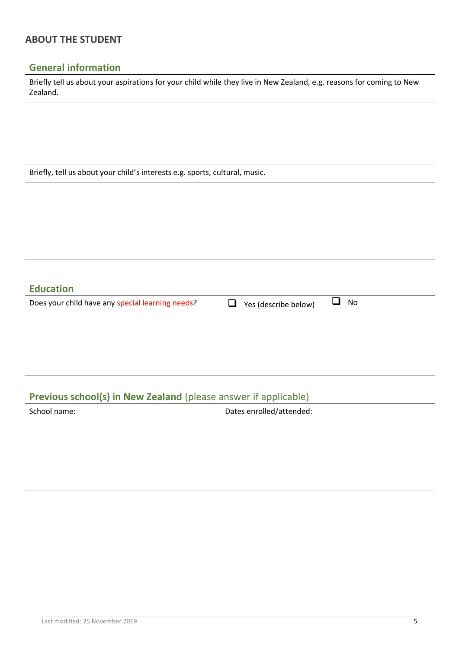#### **ABOUT THE STUDENT**

#### **General information**

Briefly tell us about your aspirations for your child while they live in New Zealand, e.g. reasons for coming to New Zealand.

Briefly, tell us about your child's interests e.g. sports, cultural, music.

**Education** Does your child have any special learning needs? <br> □ Yes (describe below) □ No

### **Previous school(s) in New Zealand** (please answer if applicable)

School name:  $\Box$  Dates enrolled/attended: